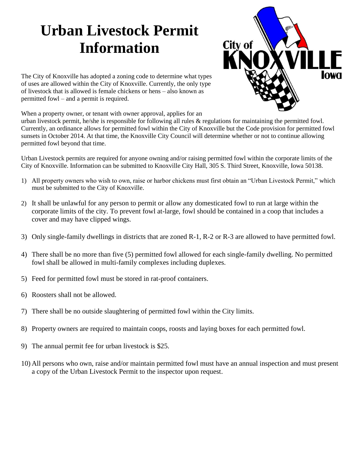# **Urban Livestock Permit Information**



The City of Knoxville has adopted a zoning code to determine what types of uses are allowed within the City of Knoxville. Currently, the only type of livestock that is allowed is female chickens or hens – also known as permitted fowl – and a permit is required.

When a property owner, or tenant with owner approval, applies for an

urban livestock permit, he/she is responsible for following all rules & regulations for maintaining the permitted fowl. Currently, an ordinance allows for permitted fowl within the City of Knoxville but the Code provision for permitted fowl sunsets in October 2014. At that time, the Knoxville City Council will determine whether or not to continue allowing permitted fowl beyond that time.

Urban Livestock permits are required for anyone owning and/or raising permitted fowl within the corporate limits of the City of Knoxville. Information can be submitted to Knoxville City Hall, 305 S. Third Street, Knoxville, Iowa 50138.

- 1) All property owners who wish to own, raise or harbor chickens must first obtain an "Urban Livestock Permit," which must be submitted to the City of Knoxville.
- 2) It shall be unlawful for any person to permit or allow any domesticated fowl to run at large within the corporate limits of the city. To prevent fowl at-large, fowl should be contained in a coop that includes a cover and may have clipped wings.
- 3) Only single-family dwellings in districts that are zoned R-1, R-2 or R-3 are allowed to have permitted fowl.
- 4) There shall be no more than five (5) permitted fowl allowed for each single-family dwelling. No permitted fowl shall be allowed in multi-family complexes including duplexes.
- 5) Feed for permitted fowl must be stored in rat-proof containers.
- 6) Roosters shall not be allowed.
- 7) There shall be no outside slaughtering of permitted fowl within the City limits.
- 8) Property owners are required to maintain coops, roosts and laying boxes for each permitted fowl.
- 9) The annual permit fee for urban livestock is \$25.
- 10) All persons who own, raise and/or maintain permitted fowl must have an annual inspection and must present a copy of the Urban Livestock Permit to the inspector upon request.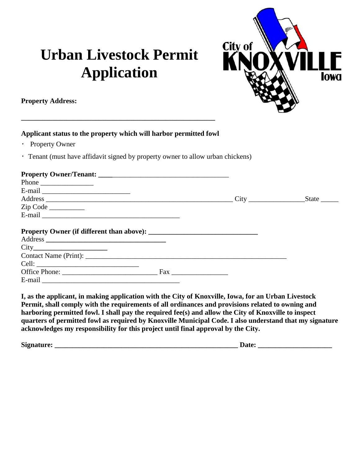## **Urban Livestock Permit Application**



City of

**Inwa** 

**I, as the applicant, in making application with the City of Knoxville, Iowa, for an Urban Livestock Permit, shall comply with the requirements of all ordinances and provisions related to owning and harboring permitted fowl. I shall pay the required fee(s) and allow the City of Knoxville to inspect quarters of permitted fowl as required by Knoxville Municipal Code. I also understand that my signature acknowledges my responsibility for this project until final approval by the City.**

| <b>Sign</b><br>י יחד $\mathbf{r}$<br>$\sim$ | ---<br>___ |
|---------------------------------------------|------------|
|---------------------------------------------|------------|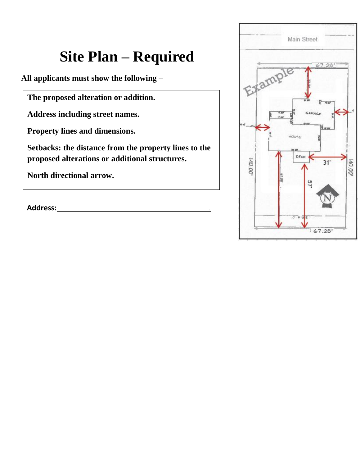## **Site Plan – Required**

**All applicants must show the following –**

**The proposed alteration or addition.**

**Address including street names.**

**Property lines and dimensions.**

**Setbacks: the distance from the property lines to the proposed alterations or additional structures.**

**North directional arrow.**

**Address:** .